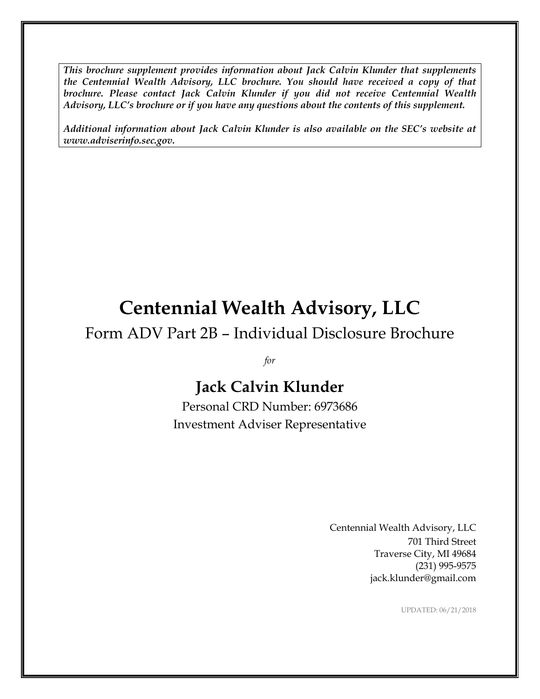*This brochure supplement provides information about Jack Calvin Klunder that supplements the Centennial Wealth Advisory, LLC brochure. You should have received a copy of that brochure. Please contact Jack Calvin Klunder if you did not receive Centennial Wealth Advisory, LLC's brochure or if you have any questions about the contents of this supplement.*

*Additional information about Jack Calvin Klunder is also available on the SEC's website at www.adviserinfo.sec.gov.*

# **Centennial Wealth Advisory, LLC**

### Form ADV Part 2B – Individual Disclosure Brochure

*for*

## **Jack Calvin Klunder**

Personal CRD Number: 6973686 Investment Adviser Representative

> Centennial Wealth Advisory, LLC 701 Third Street Traverse City, MI 49684 (231) 995-9575 jack.klunder@gmail.com

> > UPDATED: 06/21/2018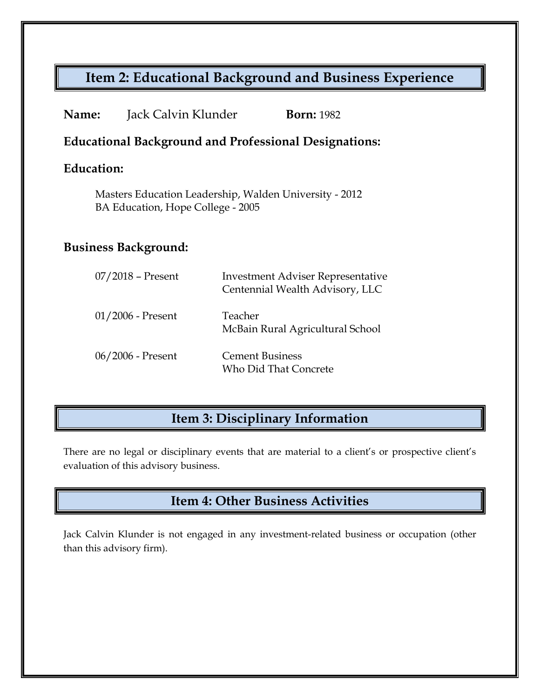#### **Item 2: Educational Background and Business Experience**

| <b>Name:</b>                                                                                | Jack Calvin Klunder | <b>Born:</b> 1982                                                           |
|---------------------------------------------------------------------------------------------|---------------------|-----------------------------------------------------------------------------|
| <b>Educational Background and Professional Designations:</b>                                |                     |                                                                             |
| Education:                                                                                  |                     |                                                                             |
| Masters Education Leadership, Walden University - 2012<br>BA Education, Hope College - 2005 |                     |                                                                             |
| <b>Business Background:</b>                                                                 |                     |                                                                             |
|                                                                                             | $07/2018$ – Present | <b>Investment Adviser Representative</b><br>Centennial Wealth Advisory, LLC |
|                                                                                             | $01/2006$ - Present | Teacher<br>McBain Rural Agricultural School                                 |
|                                                                                             | 06/2006 - Present   | <b>Cement Business</b><br><b>Who Did That Concrete</b>                      |
|                                                                                             |                     |                                                                             |

### **Item 3: Disciplinary Information**

There are no legal or disciplinary events that are material to a client's or prospective client's evaluation of this advisory business.

#### **Item 4: Other Business Activities**

Jack Calvin Klunder is not engaged in any investment-related business or occupation (other than this advisory firm).